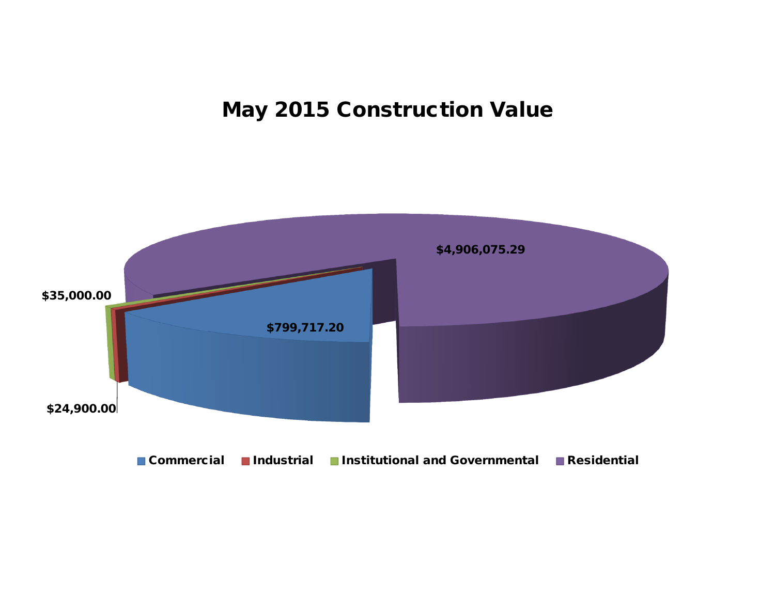# **May 2015 Construction Value**

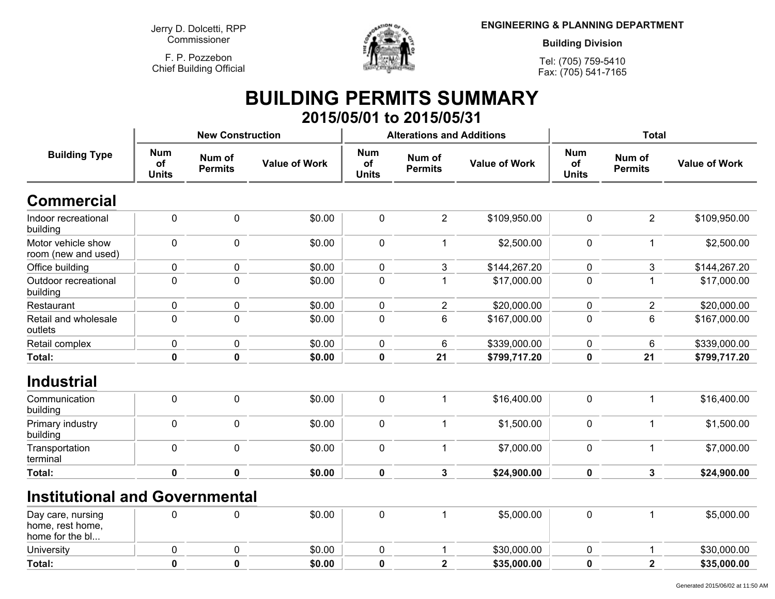**Jerry D. Dolcetti, RPPCommissioner**

**F. P. PozzebonChief Building Official**

**Total:**



**ENGINEERING & PLANNING DEPARTMENT**

**Building Division**

**Tel: (705) 759-5410Fax: (705) 541-7165**

Generated 2015/06/02 at 11:50 AM

### **BUILDING PERMITS SUMMARY 2015/05/01 to 2015/05/31**

| <b>Building Type</b>                      |                                  | <b>New Construction</b>  |                      |                                  | <b>Alterations and Additions</b> |                      | <b>Total</b>                     |                          |                      |
|-------------------------------------------|----------------------------------|--------------------------|----------------------|----------------------------------|----------------------------------|----------------------|----------------------------------|--------------------------|----------------------|
|                                           | <b>Num</b><br>of<br><b>Units</b> | Num of<br><b>Permits</b> | <b>Value of Work</b> | <b>Num</b><br>of<br><b>Units</b> | Num of<br><b>Permits</b>         | <b>Value of Work</b> | <b>Num</b><br>of<br><b>Units</b> | Num of<br><b>Permits</b> | <b>Value of Work</b> |
| Commercial                                |                                  |                          |                      |                                  |                                  |                      |                                  |                          |                      |
| Indoor recreational<br>building           | 0                                | $\mathbf 0$              | \$0.00               | $\pmb{0}$                        | $\overline{2}$                   | \$109,950.00         | $\mathbf 0$                      | $\overline{2}$           | \$109,950.00         |
| Motor vehicle show<br>room (new and used) | 0                                | $\mathbf 0$              | \$0.00               | $\pmb{0}$                        |                                  | \$2,500.00           | $\mathbf 0$                      | $\mathbf{1}$             | \$2,500.00           |
| Office building                           | 0                                | $\pmb{0}$                | \$0.00               | $\pmb{0}$                        | 3                                | \$144,267.20         | $\mathbf 0$                      | 3                        | \$144,267.20         |
| Outdoor recreational<br>building          | 0                                | 0                        | \$0.00               | $\pmb{0}$                        |                                  | \$17,000.00          | $\Omega$                         | 1                        | \$17,000.00          |
| Restaurant                                | 0                                | 0                        | \$0.00               | $\pmb{0}$                        | $\overline{2}$                   | \$20,000.00          | 0                                | $\overline{2}$           | \$20,000.00          |
| Retail and wholesale<br>outlets           | 0                                | $\mathbf 0$              | \$0.00               | $\mathbf 0$                      | 6                                | \$167,000.00         | 0                                | 6                        | \$167,000.00         |
| Retail complex                            | $\pmb{0}$                        | 0                        | \$0.00               | $\pmb{0}$                        | 6                                | \$339,000.00         | 0                                | $\,6$                    | \$339,000.00         |
| Total:                                    | $\mathbf 0$                      | $\mathbf 0$              | \$0.00               | $\pmb{0}$                        | 21                               | \$799,717.20         | $\pmb{0}$                        | 21                       | \$799,717.20         |
| <b>Industrial</b>                         |                                  |                          |                      |                                  |                                  |                      |                                  |                          |                      |
| Communication<br>building                 | 0                                | $\mathbf 0$              | \$0.00               | $\mathbf 0$                      |                                  | \$16,400.00          | $\mathbf{0}$                     | 1                        | \$16,400.00          |
| Primary industry<br>building              | 0                                | $\mathbf 0$              | \$0.00               | $\pmb{0}$                        |                                  | \$1,500.00           | $\mathbf 0$                      | 1                        | \$1,500.00           |
| Transportation<br>terminal                | $\mathbf 0$                      | $\mathbf 0$              | \$0.00               | $\mathbf 0$                      |                                  | \$7,000.00           | $\mathbf 0$                      | 1                        | \$7,000.00           |
| Total:                                    | $\pmb{0}$                        | $\mathbf 0$              | \$0.00               | $\pmb{0}$                        | 3                                | \$24,900.00          | 0                                | $\mathbf{3}$             | \$24,900.00          |
| <b>Institutional and Governmental</b>     |                                  |                          |                      |                                  |                                  |                      |                                  |                          |                      |
| Day care, nursing<br>home, rest home,     | 0                                | 0                        | \$0.00               | $\mathbf 0$                      |                                  | \$5,000.00           | $\pmb{0}$                        | 1                        | \$5,000.00           |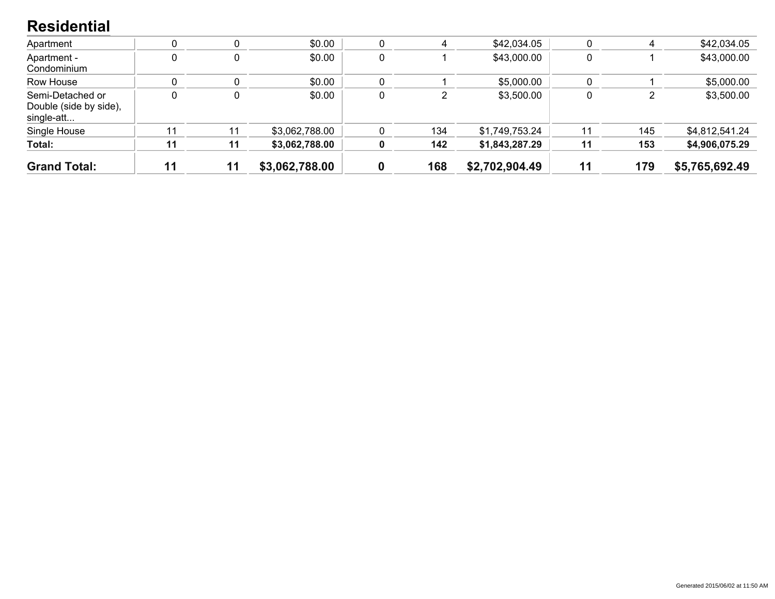#### **Residential**

| <b>Grand Total:</b>                                      | 11 | 11 | \$3,062,788.00 |   | 168 | \$2,702,904.49 | 11 | 179 | \$5,765,692.49 |
|----------------------------------------------------------|----|----|----------------|---|-----|----------------|----|-----|----------------|
| Total:                                                   | 11 | 11 | \$3,062,788.00 | 0 | 142 | \$1,843,287.29 | 11 | 153 | \$4,906,075.29 |
| Single House                                             |    |    | \$3,062,788.00 |   | 134 | \$1,749,753.24 | 11 | 145 | \$4,812,541.24 |
| Semi-Detached or<br>Double (side by side),<br>single-att |    | 0  | \$0.00         | 0 |     | \$3,500.00     |    |     | \$3,500.00     |
| Row House                                                |    |    | \$0.00         |   |     | \$5,000.00     |    |     | \$5,000.00     |
| Apartment -<br>Condominium                               |    | 0  | \$0.00         | 0 |     | \$43,000.00    |    |     | \$43,000.00    |
| Apartment                                                |    |    | \$0.00         | 0 | 4   | \$42,034.05    |    |     | \$42,034.05    |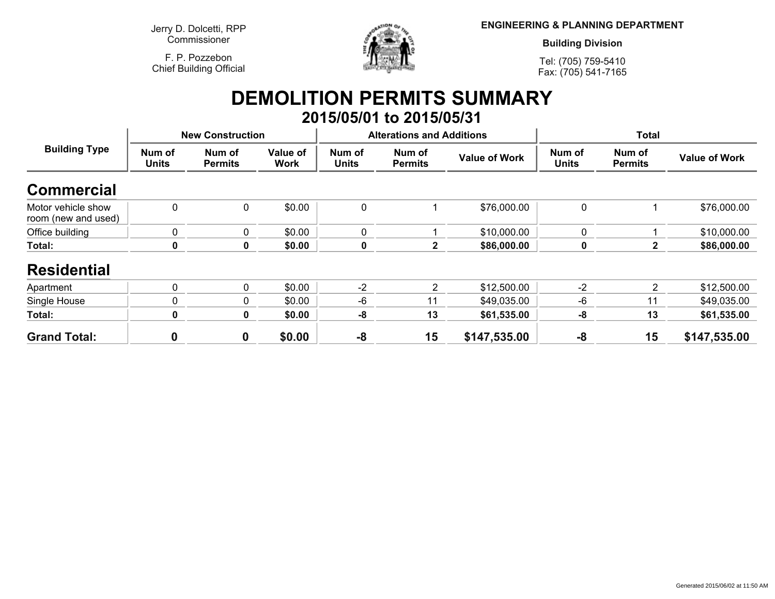**Jerry D. Dolcetti, RPPCommissioner**

**F. P. PozzebonChief Building Official**



**ENGINEERING & PLANNING DEPARTMENT**

**Building Division**

**Tel: (705) 759-5410Fax: (705) 541-7165**

### **DEMOLITION PERMITS SUMMARY 2015/05/01 to 2015/05/31**

| <b>Building Type</b>                      | <b>New Construction</b> |                          |                         |                        | <b>Alterations and Additions</b> |                      | <b>Total</b>           |                          |                      |
|-------------------------------------------|-------------------------|--------------------------|-------------------------|------------------------|----------------------------------|----------------------|------------------------|--------------------------|----------------------|
|                                           | Num of<br><b>Units</b>  | Num of<br><b>Permits</b> | Value of<br><b>Work</b> | Num of<br><b>Units</b> | Num of<br><b>Permits</b>         | <b>Value of Work</b> | Num of<br><b>Units</b> | Num of<br><b>Permits</b> | <b>Value of Work</b> |
| <b>Commercial</b>                         |                         |                          |                         |                        |                                  |                      |                        |                          |                      |
| Motor vehicle show<br>room (new and used) | $\mathbf{0}$            | 0                        | \$0.00                  | 0                      |                                  | \$76,000.00          | 0                      |                          | \$76,000.00          |
| Office building                           | $\mathbf 0$             | 0                        | \$0.00                  | 0                      |                                  | \$10,000.00          | $\mathbf 0$            |                          | \$10,000.00          |
| Total:                                    | 0                       | 0                        | \$0.00                  | $\mathbf 0$            | $\mathbf 2$                      | \$86,000.00          | $\mathbf 0$            | 2                        | \$86,000.00          |
| <b>Residential</b>                        |                         |                          |                         |                        |                                  |                      |                        |                          |                      |
| Apartment                                 | $\Omega$                | $\mathbf{0}$             | \$0.00                  | $-2$                   | 2                                | \$12,500.00          | $-2$                   | 2                        | \$12,500.00          |
| Single House                              | 0                       | 0                        | \$0.00                  | -6                     | 11                               | \$49,035.00          | -6                     | 11                       | \$49,035.00          |
| Total:                                    | 0                       | $\boldsymbol{0}$         | \$0.00                  | -8                     | 13                               | \$61,535.00          | $-8$                   | 13                       | \$61,535.00          |
| <b>Grand Total:</b>                       | 0                       | $\boldsymbol{0}$         | \$0.00                  | -8                     | 15                               | \$147,535.00         | -8                     | 15                       | \$147,535.00         |